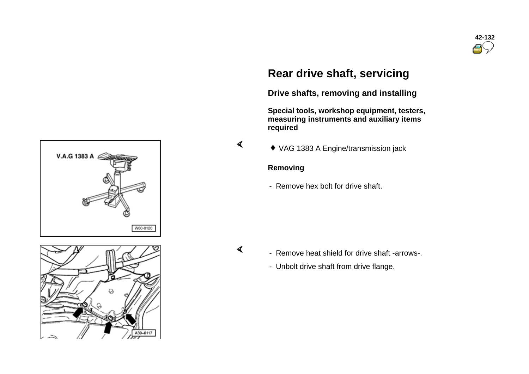

## **Rear drive shaft, servicing**

**Drive shafts, removing and installing** 

**Special tools, workshop equipment, testers, measuring instruments and auxiliary items required** 

VAG 1383 A Engine/transmission jack

#### **Removing**

- Remove hex bolt for drive shaft.

 $\blacktriangleleft$ 

 $\blacktriangleleft$ 

- Remove heat shield for drive shaft -arrows-.
- Unbolt drive shaft from drive flange.



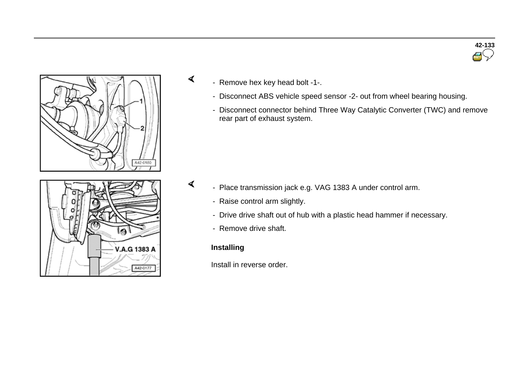



- Remove hex key head bolt -1-.

∢

∢

- Disconnect ABS vehicle speed sensor -2- out from wheel bearing housing.
- Disconnect connector behind Three Way Catalytic Converter (TWC) and remove rear part of exhaust system.

- Place transmission jack e.g. VAG 1383 A under control arm.
	- Raise control arm slightly.
	- Drive drive shaft out of hub with a plastic head hammer if necessary.
	- Remove drive shaft.

## **Installing**

Install in reverse order.

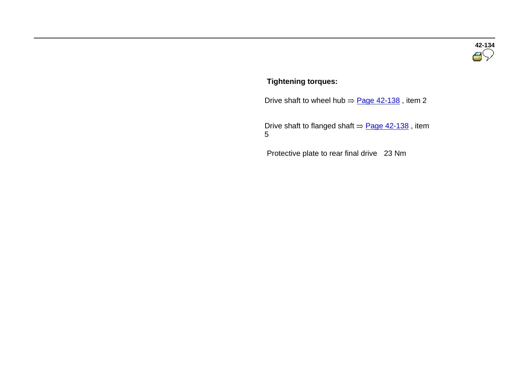# **42-134**

#### **Tightening torques:**

Drive shaft to wheel hub  $\Rightarrow$  Page 42-138, item 2

Drive shaft to flanged shaft  $\Rightarrow$  Page 42-138, item 5

Protective plate to rear final drive 23 Nm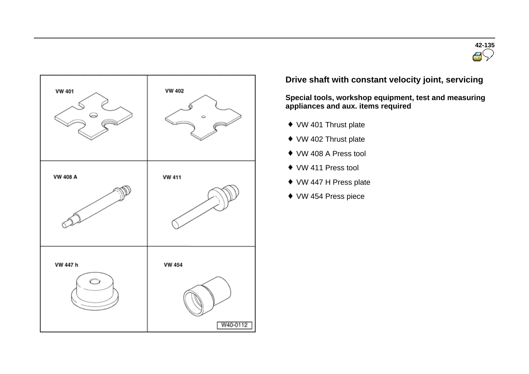



## **Drive shaft with constant velocity joint, servicing**

**Special tools, workshop equipment, test and measuring appliances and aux. items required** 

- ◆ VW 401 Thrust plate
- ◆ VW 402 Thrust plate
- VW 408 A Press tool
- VW 411 Press tool
- ◆ VW 447 H Press plate
- VW 454 Press piece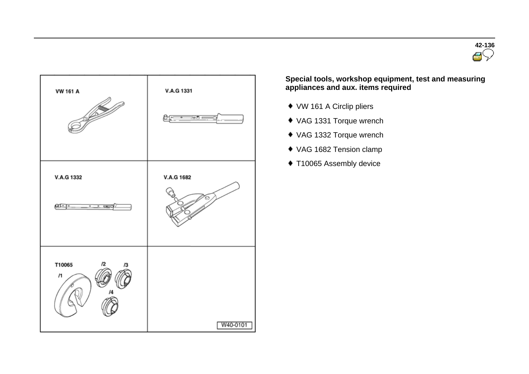



**Special tools, workshop equipment, test and measuring appliances and aux. items required** 

- VW 161 A Circlip pliers
- VAG 1331 Torque wrench
- VAG 1332 Torque wrench
- VAG 1682 Tension clamp
- ◆ T10065 Assembly device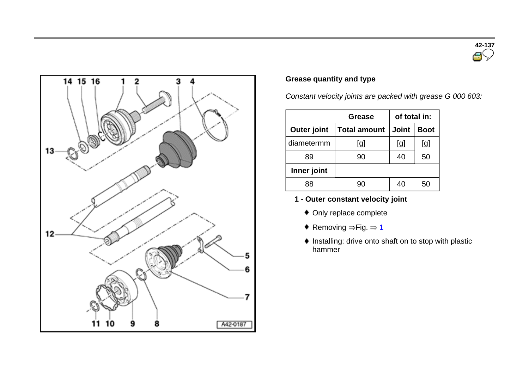



### **Grease quantity and type**

*Constant velocity joints are packed with grease G 000 603:*

|                    | Grease              | of total in: |             |
|--------------------|---------------------|--------------|-------------|
| <b>Outer joint</b> | <b>Total amount</b> | <b>Joint</b> | <b>Boot</b> |
| diametermm         | [g]                 | [g]          | [g]         |
| 89                 | 90                  | 40           | 50          |
| Inner joint        |                     |              |             |
|                    |                     | 40           | 50          |

- **1 - Outer constant velocity joint**
	- Only replace complete
	- ♦ Removing  $\Rightarrow$  Fig.  $\Rightarrow$  1
	- $\bullet$  Installing: drive onto shaft on to stop with plastic hammer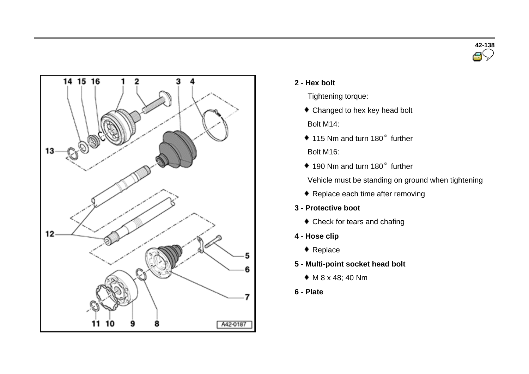



- **2 - Hex bolt**
	- Tightening torque:
	- ◆ Changed to hex key head bolt Bolt M14:
	- 115 Nm and turn 180° further Bolt M16:
	- $*$  190 Nm and turn 180 $^{\circ}$  further
	- Vehicle must be standing on ground when tightening
	- ◆ Replace each time after removing
- **3 - Protective boot** 
	- Check for tears and chafing
- **4 - Hose clip**
	- ◆ Replace
- **5 - Multi-point socket head bolt**
	- M 8 x 48; 40 Nm
- **6 - Plate**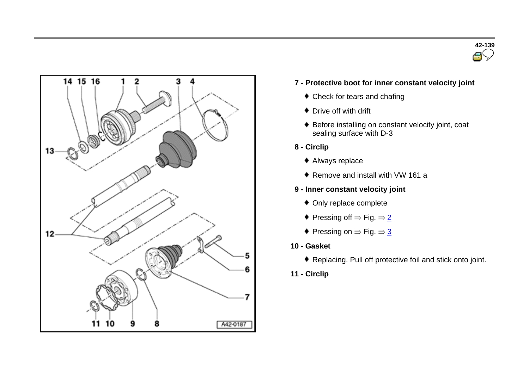



- **7 - Protective boot for inner constant velocity joint**
	- Check for tears and chafing
	- ◆ Drive off with drift
	- Before installing on constant velocity joint, coat sealing surface with D-3
- **8 - Circlip**
	- Always replace
	- ◆ Remove and install with VW 161 a
- **9 - Inner constant velocity joint**
	- Only replace complete
	- $\bullet$  Pressing off  $\Rightarrow$  Fig.  $\Rightarrow$  2
	- $\bullet$  Pressing on  $\Rightarrow$  Fig.  $\Rightarrow$  3
- **10 - Gasket**
	- Replacing. Pull off protective foil and stick onto joint.
- **11 - Circlip**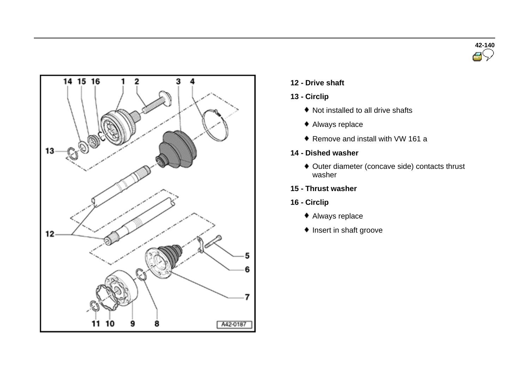



#### **12 - Drive shaft**

#### **13 - Circlip**

- ◆ Not installed to all drive shafts
- Always replace
- ◆ Remove and install with VW 161 a
- **14 - Dished washer**
	- Outer diameter (concave side) contacts thrust washer
- **15 - Thrust washer**
- **16 - Circlip**
	- Always replace
	- $\bullet$  Insert in shaft groove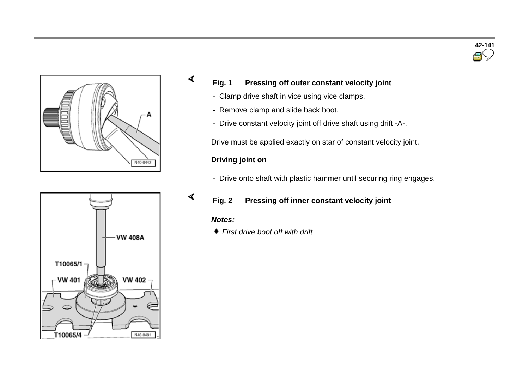



## **Fig. 1 Pressing off outer constant velocity joint**

- Clamp drive shaft in vice using vice clamps.
- Remove clamp and slide back boot.
- Drive constant velocity joint off drive shaft using drift -A-.

Drive must be applied exactly on star of constant velocity joint.

#### **Driving joint on**

- Drive onto shaft with plastic hammer until securing ring engages.

#### **Fig. 2 Pressing off inner constant velocity joint**

#### *Notes:*

∢

∢

*First drive boot off with drift*